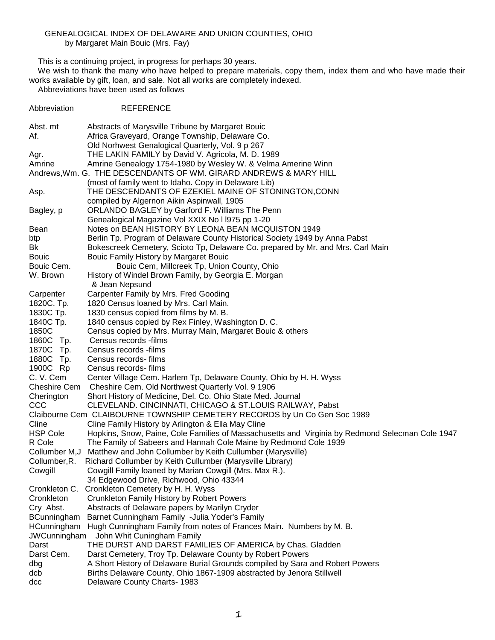## GENEALOGICAL INDEX OF DELAWARE AND UNION COUNTIES, OHIO by Margaret Main Bouic (Mrs. Fay)

This is a continuing project, in progress for perhaps 30 years.

 We wish to thank the many who have helped to prepare materials, copy them, index them and who have made their works available by gift, loan, and sale. Not all works are completely indexed.

Abbreviations have been used as follows

Abbreviation REFERENCE

Abst. mt Abstracts of Marysville Tribune by Margaret Bouic Af. Africa Graveyard, Orange Township, Delaware Co. Old Norhwest Genalogical Quarterly, Vol. 9 p 267 Agr. THE LAKIN FAMILY by David V. Agricola, M. D. 1989 Amrine Amrine Genealogy 1754-1980 by Wesley W. & Velma Amerine Winn Andrews,Wm. G. THE DESCENDANTS OF WM. GIRARD ANDREWS & MARY HILL (most of family went to Idaho. Copy in Delaware Lib) Asp. THE DESCENDANTS OF EZEKIEL MAINE OF STONINGTON,CONN compiled by Algernon Aikin Aspinwall, 1905 Bagley, p ORLANDO BAGLEY by Garford F. Williams The Penn Genealogical Magazine Vol XXIX No l l975 pp 1-20 Bean Notes on BEAN HISTORY BY LEONA BEAN MCQUISTON 1949 btp Berlin Tp. Program of Delaware County Historical Society 1949 by Anna Pabst Bk Bokescreek Cemetery, Scioto Tp, Delaware Co. prepared by Mr. and Mrs. Carl Main Bouic Bouic Family History by Margaret Bouic Bouic Cem. Bouic Cem, Millcreek Tp, Union County, Ohio W. Brown History of Windel Brown Family, by Georgia E. Morgan & Jean Nepsund Carpenter Carpenter Family by Mrs. Fred Gooding 1820C. Tp. 1820 Census loaned by Mrs. Carl Main. 1830C Tp. 1830 census copied from films by M. B. 1840C Tp. 1840 census copied by Rex Finley, Washington D. C. 1850C Census copied by Mrs. Murray Main, Margaret Bouic & others 1860C Tp. Census records -films 1870C Tp. Census records -films 1880C Tp. Census records- films 1900C Rp Census records- films C. V. Cem Center Village Cem. Harlem Tp, Delaware County, Ohio by H. H. Wyss Cheshire Cem Cheshire Cem. Old Northwest Quarterly Vol. 9 1906 Cherington Short History of Medicine, Del. Co. Ohio State Med. Journal CCC CLEVELAND. CINCINNATI, CHICAGO & ST.LOUIS RAILWAY, Pabst Claibourne Cem CLAIBOURNE TOWNSHIP CEMETERY RECORDS by Un Co Gen Soc 1989 Cline Cline Family History by Arlington & Ella May Cline HSP Cole Hopkins, Snow, Paine, Cole Families of Massachusetts and Virginia by Redmond Selecman Cole 1947 R Cole The Family of Sabeers and Hannah Cole Maine by Redmond Cole 1939 Collumber M,J Matthew and John Collumber by Keith Cullumber (Marysville) Collumber,R. Richard Collumber by Keith Cullumber (Marysville Library) Cowgill Cowgill Family loaned by Marian Cowgill (Mrs. Max R.). 34 Edgewood Drive, Richwood, Ohio 43344 Cronkleton C. Cronkleton Cemetery by H. H. Wyss Cronkleton Crunkleton Family History by Robert Powers Cry Abst. Abstracts of Delaware papers by Marilyn Cryder BCunningham Barnet Cunningham Family -Julia Yoder's Family HCunningham Hugh Cunningham Family from notes of Frances Main. Numbers by M. B. JWCunningham John Whit Cuningham Family Darst THE DURST AND DARST FAMILIES OF AMERICA by Chas. Gladden Darst Cem. Darst Cemetery, Troy Tp. Delaware County by Robert Powers dbg A Short History of Delaware Burial Grounds compiled by Sara and Robert Powers dcb Births Delaware County, Ohio 1867-1909 abstracted by Jenora Stillwell dcc Delaware County Charts- 1983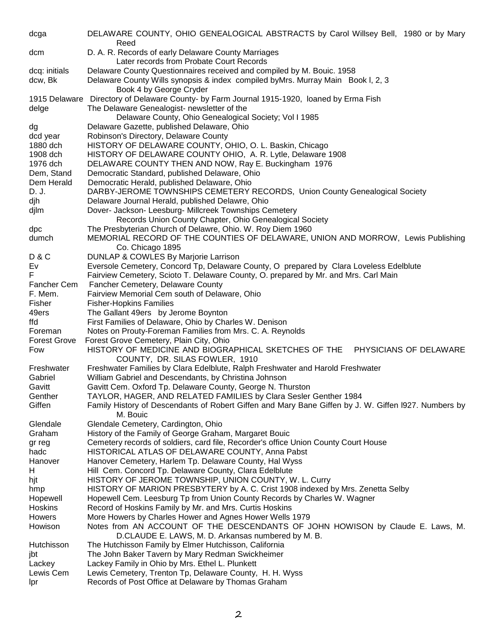| dcga                | DELAWARE COUNTY, OHIO GENEALOGICAL ABSTRACTS by Carol Willsey Bell, 1980 or by Mary<br>Reed                                             |
|---------------------|-----------------------------------------------------------------------------------------------------------------------------------------|
| dcm                 | D. A. R. Records of early Delaware County Marriages<br>Later records from Probate Court Records                                         |
| dcq: initials       | Delaware County Questionnaires received and compiled by M. Bouic. 1958                                                                  |
| dcw, Bk             | Delaware County Wills synopsis & index compiled byMrs. Murray Main Book I, 2, 3<br>Book 4 by George Cryder                              |
|                     | 1915 Delaware Directory of Delaware County- by Farm Journal 1915-1920, loaned by Erma Fish                                              |
| delge               | The Delaware Genealogist- newsletter of the                                                                                             |
|                     | Delaware County, Ohio Genealogical Society; Vol I 1985                                                                                  |
| dg                  | Delaware Gazette, published Delaware, Ohio                                                                                              |
| dcd year            | Robinson's Directory, Delaware County                                                                                                   |
| 1880 dch            | HISTORY OF DELAWARE COUNTY, OHIO, O. L. Baskin, Chicago                                                                                 |
| 1908 dch            | HISTORY OF DELAWARE COUNTY OHIO, A. R. Lytle, Delaware 1908                                                                             |
| 1976 dch            | DELAWARE COUNTY THEN AND NOW, Ray E. Buckingham 1976                                                                                    |
| Dem, Stand          | Democratic Standard, published Delaware, Ohio                                                                                           |
| Dem Herald          | Democratic Herald, published Delaware, Ohio                                                                                             |
| D. J.               | DARBY-JEROME TOWNSHIPS CEMETERY RECORDS, Union County Genealogical Society                                                              |
| djh                 | Delaware Journal Herald, published Delawre, Ohio                                                                                        |
| djlm                | Dover- Jackson- Leesburg- Millcreek Townships Cemetery                                                                                  |
|                     | Records Union County Chapter, Ohio Genealogical Society                                                                                 |
| dpc                 | The Presbyterian Church of Delawre, Ohio. W. Roy Diem 1960                                                                              |
| dumch               | MEMORIAL RECORD OF THE COUNTIES OF DELAWARE, UNION AND MORROW, Lewis Publishing                                                         |
|                     | Co. Chicago 1895                                                                                                                        |
| <b>D&amp;C</b>      | DUNLAP & COWLES By Marjorie Larrison                                                                                                    |
| Ev                  | Eversole Cemetery, Concord Tp, Delaware County, O prepared by Clara Loveless Edelblute                                                  |
| F                   | Fairview Cemetery, Scioto T. Delaware County, O. prepared by Mr. and Mrs. Carl Main                                                     |
| Fancher Cem         | Fancher Cemetery, Delaware County                                                                                                       |
| F. Mem.             | Fairview Memorial Cem south of Delaware, Ohio                                                                                           |
| Fisher              | <b>Fisher-Hopkins Families</b>                                                                                                          |
| 49ers<br>ffd        | The Gallant 49ers by Jerome Boynton<br>First Families of Delaware, Ohio by Charles W. Denison                                           |
| Foreman             | Notes on Prouty-Foreman Families from Mrs. C. A. Reynolds                                                                               |
| <b>Forest Grove</b> | Forest Grove Cemetery, Plain City, Ohio                                                                                                 |
| Fow                 | HISTORY OF MEDICINE AND BIOGRAPHICAL SKETCHES OF THE<br>PHYSICIANS OF DELAWARE                                                          |
|                     | COUNTY, DR. SILAS FOWLER, 1910                                                                                                          |
| Freshwater          | Freshwater Families by Clara Edelblute, Ralph Freshwater and Harold Freshwater                                                          |
| Gabriel             | William Gabriel and Descendants, by Christina Johnson                                                                                   |
| Gavitt              | Gavitt Cem. Oxford Tp. Delaware County, George N. Thurston                                                                              |
| Genther             | TAYLOR, HAGER, AND RELATED FAMILIES by Clara Sesler Genther 1984                                                                        |
| Giffen              | Family History of Descendants of Robert Giffen and Mary Bane Giffen by J. W. Giffen I927. Numbers by                                    |
|                     | M. Bouic                                                                                                                                |
| Glendale            | Glendale Cemetery, Cardington, Ohio                                                                                                     |
| Graham              | History of the Family of George Graham, Margaret Bouic                                                                                  |
| gr reg              | Cemetery records of soldiers, card file, Recorder's office Union County Court House                                                     |
| hadc                | HISTORICAL ATLAS OF DELAWARE COUNTY, Anna Pabst                                                                                         |
| Hanover             | Hanover Cemetery, Harlem Tp. Delaware County, Hal Wyss                                                                                  |
| H                   | Hill Cem. Concord Tp. Delaware County, Clara Edelblute                                                                                  |
| hjt<br>hmp          | HISTORY OF JEROME TOWNSHIP, UNION COUNTY, W. L. Curry<br>HISTORY OF MARION PRESBYTERY by A. C. Crist 1908 indexed by Mrs. Zenetta Selby |
| Hopewell            | Hopewell Cem. Leesburg Tp from Union County Records by Charles W. Wagner                                                                |
| Hoskins             | Record of Hoskins Family by Mr. and Mrs. Curtis Hoskins                                                                                 |
| Howers              | More Howers by Charles Hower and Agnes Hower Wells 1979                                                                                 |
| Howison             | Notes from AN ACCOUNT OF THE DESCENDANTS OF JOHN HOWISON by Claude E. Laws, M.                                                          |
|                     | D.CLAUDE E. LAWS, M. D. Arkansas numbered by M. B.                                                                                      |
| Hutchisson          | The Hutchisson Family by Elmer Hutchisson, California                                                                                   |
| jbt                 | The John Baker Tavern by Mary Redman Swickheimer                                                                                        |
| Lackey              | Lackey Family in Ohio by Mrs. Ethel L. Plunkett                                                                                         |
| Lewis Cem           | Lewis Cemetery, Trenton Tp, Delaware County, H. H. Wyss                                                                                 |
| Ipr                 | Records of Post Office at Delaware by Thomas Graham                                                                                     |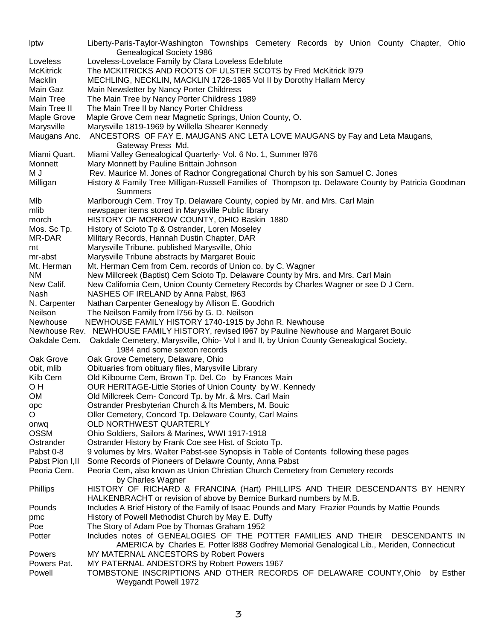lptw Liberty-Paris-Taylor-Washington Townships Cemetery Records by Union County Chapter, Ohio Genealogical Society 1986 Loveless Loveless-Lovelace Family by Clara Loveless Edelblute McKitrick The MCKITRICKS AND ROOTS OF ULSTER SCOTS by Fred McKitrick l979 Macklin MECHLING, NECKLIN, MACKLIN 1728-1985 Vol II by Dorothy Hallarn Mercy Main Gaz Main Newsletter by Nancy Porter Childress Main Tree The Main Tree by Nancy Porter Childress 1989 Main Tree II The Main Tree II by Nancy Porter Childress Maple Grove Maple Grove Cem near Magnetic Springs, Union County, O. Marysville Marysville 1819-1969 by Willella Shearer Kennedy Maugans Anc. ANCESTORS OF FAY E. MAUGANS ANC LETA LOVE MAUGANS by Fay and Leta Maugans, Gateway Press Md. Miami Quart. Miami Valley Genealogical Quarterly- Vol. 6 No. 1, Summer l976 Monnett Mary Monnett by Pauline Brittain Johnson M J Rev. Maurice M. Jones of Radnor Congregational Church by his son Samuel C. Jones Milligan History & Family Tree Milligan-Russell Families of Thompson tp. Delaware County by Patricia Goodman **Summers** Mlb Marlborough Cem. Troy Tp. Delaware County, copied by Mr. and Mrs. Carl Main mlib newspaper items stored in Marysville Public library morch HISTORY OF MORROW COUNTY, OHIO Baskin 1880 Mos. Sc Tp. History of Scioto Tp & Ostrander, Loren Moseley MR-DAR Military Records, Hannah Dustin Chapter, DAR mt Marysville Tribune. published Marysville, Ohio mr-abst Marysville Tribune abstracts by Margaret Bouic Mt. Herman Mt. Herman Cem from Cem. records of Union co. by C. Wagner NM New Millcreek (Baptist) Cem Scioto Tp. Delaware County by Mrs. and Mrs. Carl Main New Calif. New California Cem, Union County Cemetery Records by Charles Wagner or see D J Cem. Nash NASHES OF IRELAND by Anna Pabst, l963 N. Carpenter Nathan Carpenter Genealogy by Allison E. Goodrich Neilson The Neilson Family from l756 by G. D. Neilson Newhouse NEWHOUSE FAMILY HISTORY 1740-1915 by John R. Newhouse Newhouse Rev. NEWHOUSE FAMILY HISTORY, revised l967 by Pauline Newhouse and Margaret Bouic Oakdale Cem. Oakdale Cemetery, Marysville, Ohio- Vol I and II, by Union County Genealogical Society, 1984 and some sexton records Oak Grove Oak Grove Cemetery, Delaware, Ohio obit, mlib Obituaries from obituary files, Marysville Library Kilb Cem Old Kilbourne Cem, Brown Tp. Del. Co by Frances Main O H **OUR HERITAGE-Little Stories of Union County by W. Kennedy** OM Old Millcreek Cem- Concord Tp. by Mr. & Mrs. Carl Main opc Ostrander Presbyterian Church & Its Members, M. Bouic O Oller Cemetery, Concord Tp. Delaware County, Carl Mains onwq OLD NORTHWEST QUARTERLY OSSM Ohio Soldiers, Sailors & Marines, WWI 1917-1918 Ostrander Ostrander History by Frank Coe see Hist. of Scioto Tp. Pabst 0-8 9 volumes by Mrs. Walter Pabst-see Synopsis in Table of Contents following these pages Pabst Pion I, II Some Records of Pioneers of Delawre County, Anna Pabst Peoria Cem. Peoria Cem, also known as Union Christian Church Cemetery from Cemetery records by Charles Wagner Phillips HISTORY OF RICHARD & FRANCINA (Hart) PHILLIPS AND THEIR DESCENDANTS BY HENRY HALKENBRACHT or revision of above by Bernice Burkard numbers by M.B. Pounds Includes A Brief History of the Family of Isaac Pounds and Mary Frazier Pounds by Mattie Pounds pmc History of Powell Methodist Church by May E. Duffy Poe The Story of Adam Poe by Thomas Graham 1952 Potter **Includes notes of GENEALOGIES OF THE POTTER FAMILIES AND THEIR DESCENDANTS IN** AMERICA by Charles E. Potter l888 Godfrey Memorial Genalogical Lib., Meriden, Connecticut Powers MY MATERNAL ANCESTORS by Robert Powers Powers Pat. MY PATERNAL ANDESTORS by Robert Powers 1967 Powell TOMBSTONE INSCRIPTIONS AND OTHER RECORDS OF DELAWARE COUNTY,Ohio by Esther Weygandt Powell 1972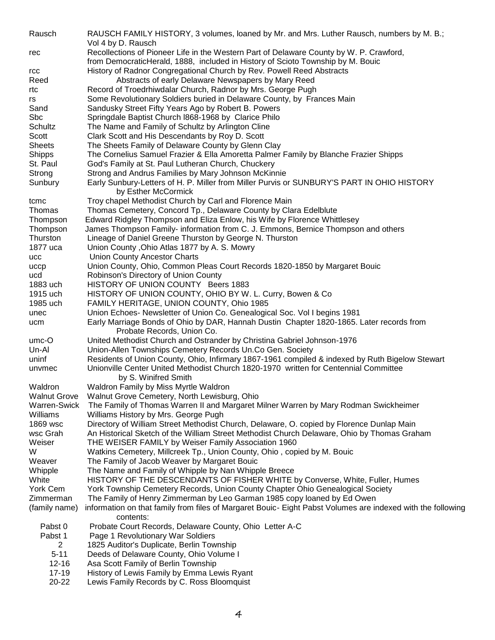| Rausch                 | RAUSCH FAMILY HISTORY, 3 volumes, loaned by Mr. and Mrs. Luther Rausch, numbers by M. B.;                                                         |
|------------------------|---------------------------------------------------------------------------------------------------------------------------------------------------|
|                        | Vol 4 by D. Rausch                                                                                                                                |
| rec                    | Recollections of Pioneer Life in the Western Part of Delaware County by W. P. Crawford,                                                           |
|                        | from DemocraticHerald, 1888, included in History of Scioto Township by M. Bouic                                                                   |
| rcc                    | History of Radnor Congregational Church by Rev. Powell Reed Abstracts                                                                             |
| Reed                   | Abstracts of early Delaware Newspapers by Mary Reed                                                                                               |
| rtc                    | Record of Troedrhiwdalar Church, Radnor by Mrs. George Pugh                                                                                       |
| rs                     | Some Revolutionary Soldiers buried in Delaware County, by Frances Main                                                                            |
| Sand                   | Sandusky Street Fifty Years Ago by Robert B. Powers                                                                                               |
| <b>Sbc</b>             | Springdale Baptist Church I868-1968 by Clarice Philo                                                                                              |
| Schultz                | The Name and Family of Schultz by Arlington Cline                                                                                                 |
| Scott<br><b>Sheets</b> | Clark Scott and His Descendants by Roy D. Scott                                                                                                   |
|                        | The Sheets Family of Delaware County by Glenn Clay                                                                                                |
| Shipps<br>St. Paul     | The Cornelius Samuel Frazier & Ella Amoretta Palmer Family by Blanche Frazier Shipps<br>God's Family at St. Paul Lutheran Church, Chuckery        |
| Strong                 |                                                                                                                                                   |
| Sunbury                | Strong and Andrus Families by Mary Johnson McKinnie<br>Early Sunbury-Letters of H. P. Miller from Miller Purvis or SUNBURY'S PART IN OHIO HISTORY |
|                        | by Esther McCormick                                                                                                                               |
|                        | Troy chapel Methodist Church by Carl and Florence Main                                                                                            |
| tcmc<br>Thomas         | Thomas Cemetery, Concord Tp., Delaware County by Clara Edelblute                                                                                  |
| Thompson               | Edward Ridgley Thompson and Eliza Enlow, his Wife by Florence Whittlesey                                                                          |
| Thompson               | James Thompson Family- information from C. J. Emmons, Bernice Thompson and others                                                                 |
| Thurston               | Lineage of Daniel Greene Thurston by George N. Thurston                                                                                           |
| 1877 uca               | Union County, Ohio Atlas 1877 by A. S. Mowry                                                                                                      |
| ucc                    | <b>Union County Ancestor Charts</b>                                                                                                               |
| uccp                   | Union County, Ohio, Common Pleas Court Records 1820-1850 by Margaret Bouic                                                                        |
| ucd                    | Robinson's Directory of Union County                                                                                                              |
| 1883 uch               | HISTORY OF UNION COUNTY Beers 1883                                                                                                                |
| 1915 uch               | HISTORY OF UNION COUNTY, OHIO BY W. L. Curry, Bowen & Co                                                                                          |
| 1985 uch               | FAMILY HERITAGE, UNION COUNTY, Ohio 1985                                                                                                          |
| unec                   | Union Echoes- Newsletter of Union Co. Genealogical Soc. Vol I begins 1981                                                                         |
| ucm                    | Early Marriage Bonds of Ohio by DAR, Hannah Dustin Chapter 1820-1865. Later records from                                                          |
|                        | Probate Records, Union Co.                                                                                                                        |
| $umc-O$                | United Methodist Church and Ostrander by Christina Gabriel Johnson-1976                                                                           |
| Un-Al                  | Union-Allen Townships Cemetery Records Un.Co Gen. Society                                                                                         |
| uninf                  | Residents of Union County, Ohio, Infirmary 1867-1961 compiled & indexed by Ruth Bigelow Stewart                                                   |
| unvmec                 | Unionville Center United Methodist Church 1820-1970 written for Centennial Committee                                                              |
|                        | by S. Winifred Smith                                                                                                                              |
| Waldron                | Waldron Family by Miss Myrtle Waldron                                                                                                             |
| <b>Walnut Grove</b>    | Walnut Grove Cemetery, North Lewisburg, Ohio                                                                                                      |
| <b>Warren-Swick</b>    | The Family of Thomas Warren II and Margaret Milner Warren by Mary Rodman Swickheimer                                                              |
| Williams               | Williams History by Mrs. George Pugh                                                                                                              |
| 1869 wsc               | Directory of William Street Methodist Church, Delaware, O. copied by Florence Dunlap Main                                                         |
| wsc Grah               | An Historical Sketch of the William Street Methodist Church Delaware, Ohio by Thomas Graham                                                       |
| Weiser                 | THE WEISER FAMILY by Weiser Family Association 1960                                                                                               |
| W                      | Watkins Cemetery, Millcreek Tp., Union County, Ohio, copied by M. Bouic                                                                           |
| Weaver                 | The Family of Jacob Weaver by Margaret Bouic                                                                                                      |
| Whipple                | The Name and Family of Whipple by Nan Whipple Breece                                                                                              |
| White                  | HISTORY OF THE DESCENDANTS OF FISHER WHITE by Converse, White, Fuller, Humes                                                                      |
| York Cem               | York Township Cemetery Records, Union County Chapter Ohio Genealogical Society                                                                    |
| Zimmerman              | The Family of Henry Zimmerman by Leo Garman 1985 copy loaned by Ed Owen                                                                           |
| (family name)          | information on that family from files of Margaret Bouic- Eight Pabst Volumes are indexed with the following<br>contents:                          |
| Pabst 0                | Probate Court Records, Delaware County, Ohio Letter A-C                                                                                           |
| Pabst 1                | Page 1 Revolutionary War Soldiers                                                                                                                 |
| $\overline{2}$         | 1825 Auditor's Duplicate, Berlin Township                                                                                                         |
| $5 - 11$               | Deeds of Delaware County, Ohio Volume I                                                                                                           |
| $12 - 16$              | Asa Scott Family of Berlin Township                                                                                                               |
| $17 - 19$              | History of Lewis Family by Emma Lewis Ryant                                                                                                       |
| 20-22                  | Lewis Family Records by C. Ross Bloomquist                                                                                                        |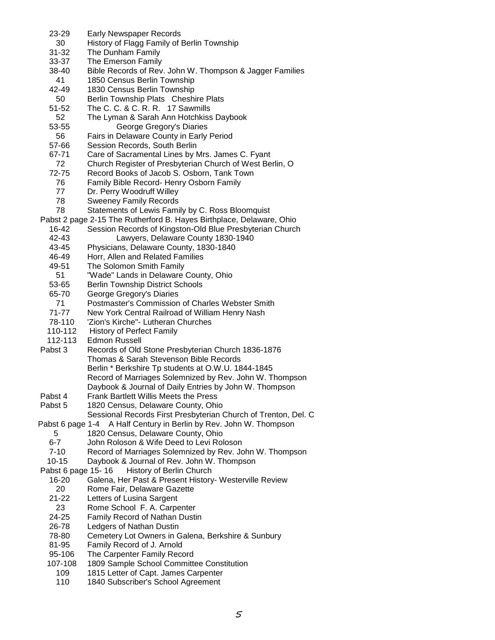- 23-29 Early Newspaper Records 30 History of Flagg Family of Berlin Township 31-32 The Dunham Family 33-37 The Emerson Family 38-40 Bible Records of Rev. John W. Thompson & Jagger Families 41 1850 Census Berlin Township 42-49 1830 Census Berlin Township 50 Berlin Township Plats Cheshire Plats<br>51-52 The C. C. & C. R. R. 17 Sawmills The C. C. & C. R. R. 17 Sawmills 52 The Lyman & Sarah Ann Hotchkiss Daybook 53-55 George Gregory's Diaries 56 Fairs in Delaware County in Early Period 57-66 Session Records, South Berlin 67-71 Care of Sacramental Lines by Mrs. James C. Fyant 72 Church Register of Presbyterian Church of West Berlin, O 72-75 Record Books of Jacob S. Osborn, Tank Town 76 Family Bible Record- Henry Osborn Family 77 Dr. Perry Woodruff Willey 78 Sweeney Family Records 78 Statements of Lewis Family by C. Ross Bloomquist Pabst 2 page 2-15 The Rutherford B. Hayes Birthplace, Delaware, Ohio 16-42 Session Records of Kingston-Old Blue Presbyterian Church 42-43 Lawyers, Delaware County 1830-1940 43-45 Physicians, Delaware County, 1830-1840 46-49 Horr, Allen and Related Families 49-51 The Solomon Smith Family 51 "Wade" Lands in Delaware County, Ohio 53-65 Berlin Township District Schools 65-70 George Gregory's Diaries 71 Postmaster's Commission of Charles Webster Smith 71-77 New York Central Railroad of William Henry Nash 78-110 'Zion's Kirche"- Lutheran Churches 110-112 History of Perfect Family 112-113 Edmon Russell Pabst 3 Records of Old Stone Presbyterian Church 1836-1876 Thomas & Sarah Stevenson Bible Records Berlin \* Berkshire Tp students at O.W.U. 1844-1845 Record of Marriages Solemnized by Rev. John W. Thompson Daybook & Journal of Daily Entries by John W. Thompson<br>Pabst 4 Frank Bartlett Willis Meets the Press Frank Bartlett Willis Meets the Press Pabst 5 1820 Census, Delaware County, Ohio Sessional Records First Presbyterian Church of Trenton, Del. C Pabst 6 page 1-4 A Half Century in Berlin by Rev. John W. Thompson 5 1820 Census, Delaware County, Ohio 6-7 John Roloson & Wife Deed to Levi Roloson 7-10 Record of Marriages Solemnized by Rev. John W. Thompson 10-15 Daybook & Journal of Rev. John W. Thompson Pabst 6 page 15-16 History of Berlin Church 16-20 Galena, Her Past & Present History- Westerville Review 20 Rome Fair, Delaware Gazette 21-22 Letters of Lusina Sargent 23 Rome School F. A. Carpenter 24-25 Family Record of Nathan Dustin 26-78 Ledgers of Nathan Dustin 78-80 Cemetery Lot Owners in Galena, Berkshire & Sunbury 81-95 Family Record of J. Arnold 95-106 The Carpenter Family Record 107-108 1809 Sample School Committee Constitution 109 1815 Letter of Capt. James Carpenter
	- 110 1840 Subscriber's School Agreement